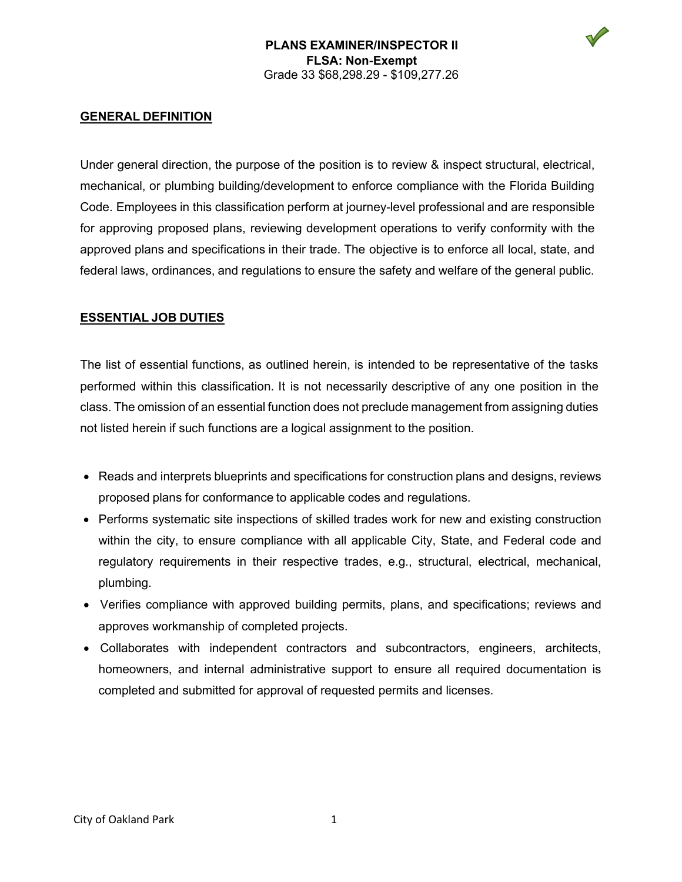V



Under general direction, the purpose of the position is to review & inspect structural, electrical, mechanical, or plumbing building/development to enforce compliance with the Florida Building Code. Employees in this classification perform at journey-level professional and are responsible for approving proposed plans, reviewing development operations to verify conformity with the approved plans and specifications in their trade. The objective is to enforce all local, state, and federal laws, ordinances, and regulations to ensure the safety and welfare of the general public.

### **ESSENTIAL JOB DUTIES**

The list of essential functions, as outlined herein, is intended to be representative of the tasks performed within this classification. It is not necessarily descriptive of any one position in the class. The omission of an essential function does not preclude management from assigning duties not listed herein if such functions are a logical assignment to the position.

- Reads and interprets blueprints and specifications for construction plans and designs, reviews proposed plans for conformance to applicable codes and regulations.
- Performs systematic site inspections of skilled trades work for new and existing construction within the city, to ensure compliance with all applicable City, State, and Federal code and regulatory requirements in their respective trades, e.g., structural, electrical, mechanical, plumbing.
- Verifies compliance with approved building permits, plans, and specifications; reviews and approves workmanship of completed projects.
- Collaborates with independent contractors and subcontractors, engineers, architects, homeowners, and internal administrative support to ensure all required documentation is completed and submitted for approval of requested permits and licenses.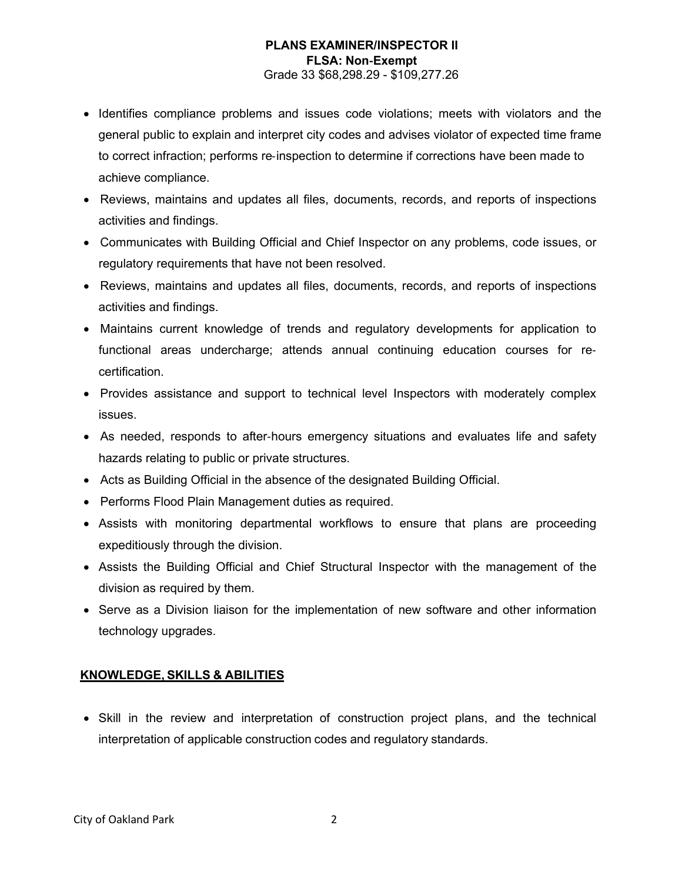### **PLANS EXAMINER/INSPECTOR II FLSA: Non**‐**Exempt** Grade 33 \$68,298.29 - \$109,277.26

- Identifies compliance problems and issues code violations; meets with violators and the general public to explain and interpret city codes and advises violator of expected time frame to correct infraction; performs re‐inspection to determine if corrections have been made to achieve compliance.
- Reviews, maintains and updates all files, documents, records, and reports of inspections activities and findings.
- Communicates with Building Official and Chief Inspector on any problems, code issues, or regulatory requirements that have not been resolved.
- Reviews, maintains and updates all files, documents, records, and reports of inspections activities and findings.
- Maintains current knowledge of trends and regulatory developments for application to functional areas undercharge; attends annual continuing education courses for re‐ certification.
- Provides assistance and support to technical level Inspectors with moderately complex issues.
- As needed, responds to after-hours emergency situations and evaluates life and safety hazards relating to public or private structures.
- Acts as Building Official in the absence of the designated Building Official.
- Performs Flood Plain Management duties as required.
- Assists with monitoring departmental workflows to ensure that plans are proceeding expeditiously through the division.
- Assists the Building Official and Chief Structural Inspector with the management of the division as required by them.
- Serve as a Division liaison for the implementation of new software and other information technology upgrades.

# **KNOWLEDGE, SKILLS & ABILITIES**

• Skill in the review and interpretation of construction project plans, and the technical interpretation of applicable construction codes and regulatory standards.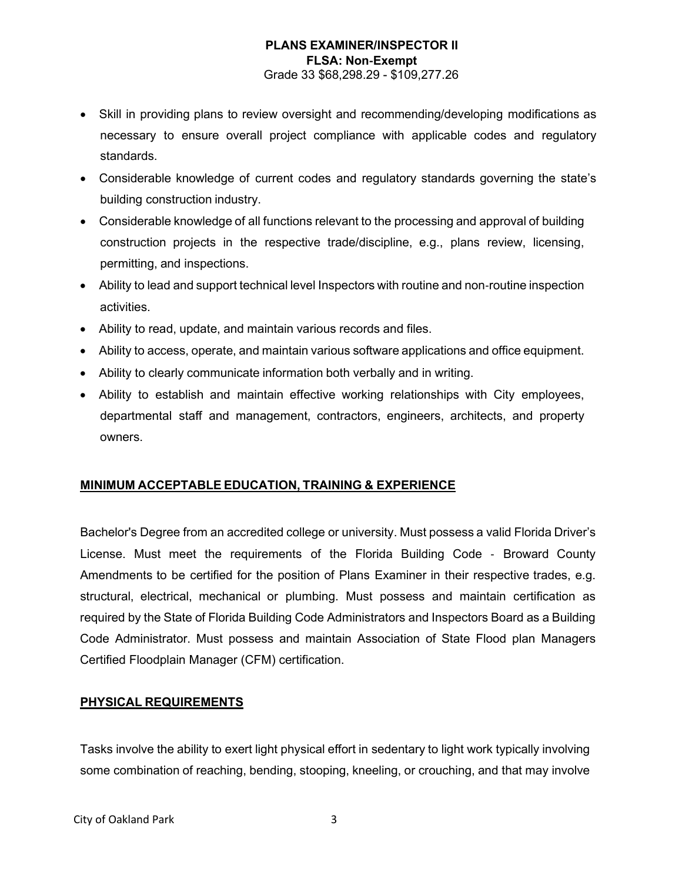### **PLANS EXAMINER/INSPECTOR II FLSA: Non**‐**Exempt** Grade 33 \$68,298.29 - \$109,277.26

- Skill in providing plans to review oversight and recommending/developing modifications as necessary to ensure overall project compliance with applicable codes and regulatory standards.
- Considerable knowledge of current codes and regulatory standards governing the state's building construction industry.
- Considerable knowledge of all functions relevant to the processing and approval of building construction projects in the respective trade/discipline, e.g., plans review, licensing, permitting, and inspections.
- Ability to lead and support technical level Inspectors with routine and non-routine inspection activities.
- Ability to read, update, and maintain various records and files.
- Ability to access, operate, and maintain various software applications and office equipment.
- Ability to clearly communicate information both verbally and in writing.
- Ability to establish and maintain effective working relationships with City employees, departmental staff and management, contractors, engineers, architects, and property owners.

## **MINIMUM ACCEPTABLE EDUCATION, TRAINING & EXPERIENCE**

Bachelor's Degree from an accredited college or university. Must possess a valid Florida Driver's License. Must meet the requirements of the Florida Building Code ‐ Broward County Amendments to be certified for the position of Plans Examiner in their respective trades, e.g. structural, electrical, mechanical or plumbing. Must possess and maintain certification as required by the State of Florida Building Code Administrators and Inspectors Board as a Building Code Administrator. Must possess and maintain Association of State Flood plan Managers Certified Floodplain Manager (CFM) certification.

## **PHYSICAL REQUIREMENTS**

Tasks involve the ability to exert light physical effort in sedentary to light work typically involving some combination of reaching, bending, stooping, kneeling, or crouching, and that may involve